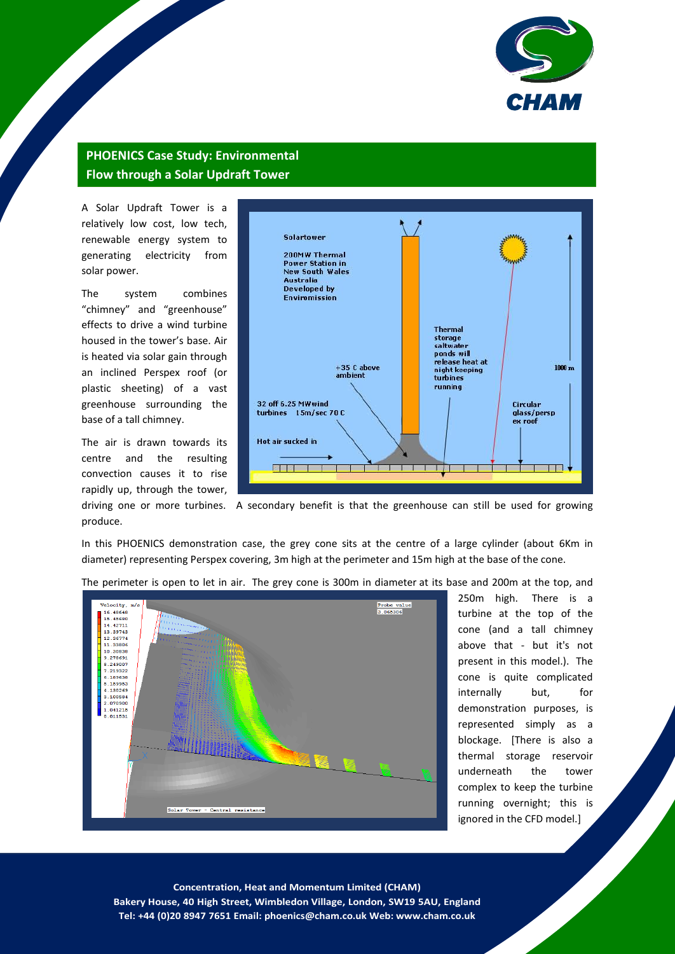

## **PHOENICS Case Study: Environmental Flow through a Solar Updraft Tower**

A Solar Updraft Tower is a relatively low cost, low tech, renewable energy system to generating electricity from solar power.

The system combines "chimney" and "greenhouse" effects to drive a wind turbine housed in the tower's base. Air is heated via solar gain through an inclined Perspex roof (or plastic sheeting) of a vast greenhouse surrounding the base of a tall chimney.

The air is drawn towards its centre and the resulting convection causes it to rise rapidly up, through the tower, produce.



driving one or more turbines. A secondary benefit is that the greenhouse can still be used for growing

In this PHOENICS demonstration case, the grey cone sits at the centre of a large cylinder (about 6Km in diameter) representing Perspex covering, 3m high at the perimeter and 15m high at the base of the cone.



The perimeter is open to let in air. The grey cone is 300m in diameter at its base and 200m at the top, and

250m high. There is a turbine at the top of the cone (and a tall chimney above that - but it's not present in this model.). The cone is quite complicated internally but, for demonstration purposes, is represented simply as a blockage. [There is also a thermal storage reservoir underneath the tower complex to keep the turbine running overnight; this is ignored in the CFD model.]

1 **Concentration, Heat and Momentum Limited (CHAM) Bakery House, 40 High Street, Wimbledon Village, London, SW19 5AU, England Tel: +44 (0)20 8947 7651 Email: phoenics@cham.co.uk Web: www.cham.co.uk**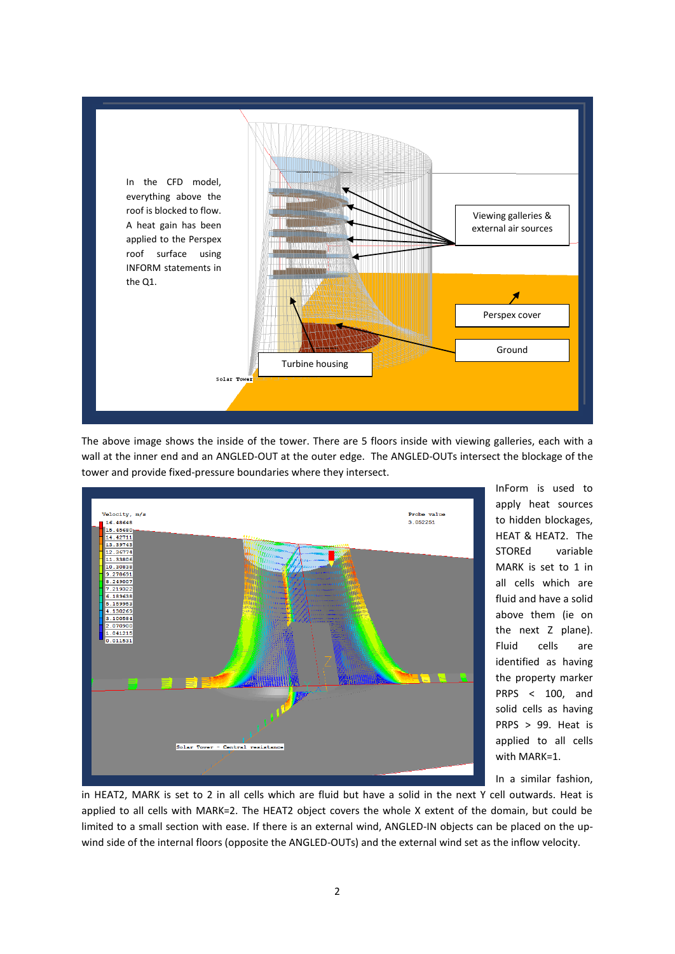

The above image shows the inside of the tower. There are 5 floors inside with viewing galleries, each with a wall at the inner end and an ANGLED-OUT at the outer edge. The ANGLED-OUTs intersect the blockage of the tower and provide fixed-pressure boundaries where they intersect.



InForm is used to apply heat sources to hidden blockages, HEAT & HEAT2. The STOREd variable MARK is set to 1 in all cells which are fluid and have a solid above them (ie on the next Z plane). Fluid cells are identified as having the property marker PRPS < 100, and solid cells as having PRPS > 99. Heat is applied to all cells with MARK=1.

In a similar fashion,

in HEAT2, MARK is set to 2 in all cells which are fluid but have a solid in the next Y cell outwards. Heat is applied to all cells with MARK=2. The HEAT2 object covers the whole X extent of the domain, but could be limited to a small section with ease. If there is an external wind, ANGLED-IN objects can be placed on the upwind side of the internal floors (opposite the ANGLED-OUTs) and the external wind set as the inflow velocity.